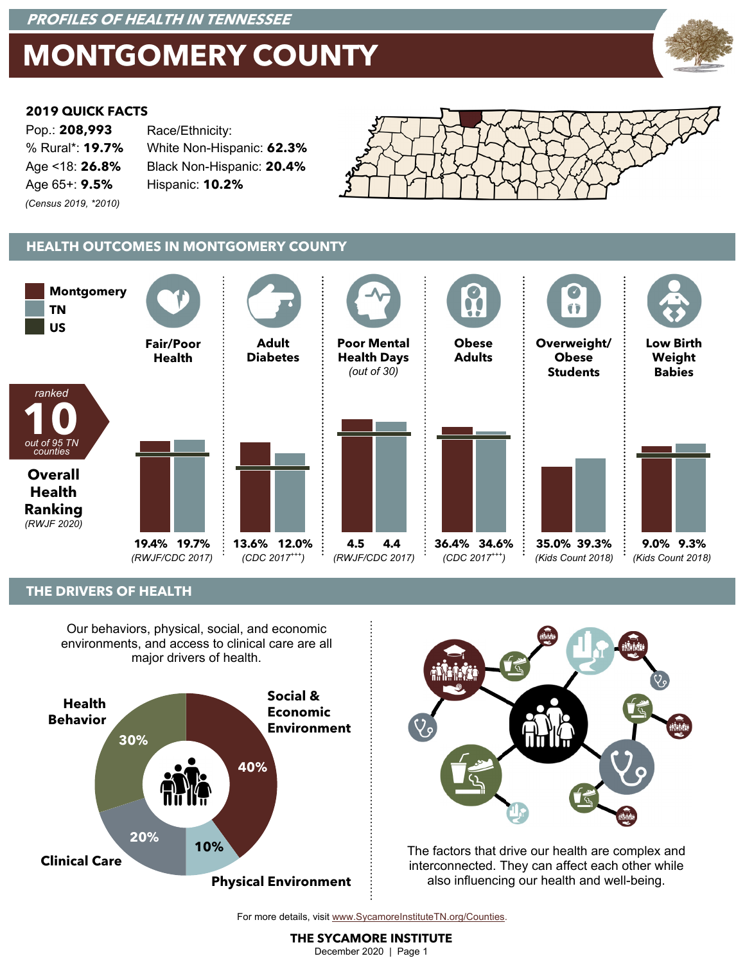### **PROFILES OF HEALTH IN TENNESSEE**

# **MONTGOMERY COUNTY**



#### **2019 QUICK FACTS**

| Pop.: 208,993          | Race/Ethnicity:           |  |  |  |
|------------------------|---------------------------|--|--|--|
| % Rural*: <b>19.7%</b> | White Non-Hispanic: 62.3% |  |  |  |
| Age <18: <b>26.8%</b>  | Black Non-Hispanic: 20.4% |  |  |  |
| Age 65+: 9.5%          | Hispanic: 10.2%           |  |  |  |
| (Census 2019, *2010)   |                           |  |  |  |



### **HEALTH OUTCOMES IN MONTGOMERY COUNTY**



#### **THE DRIVERS OF HEALTH**

Our behaviors, physical, social, and economic environments, and access to clinical care are all major drivers of health.





The factors that drive our health are complex and interconnected. They can affect each other while also influencing our health and well-being.

For more details, visit www.SycamoreInstituteTN.org/Counties.

**THE SYCAMORE INSTITUTE**  December 2020 | Page 1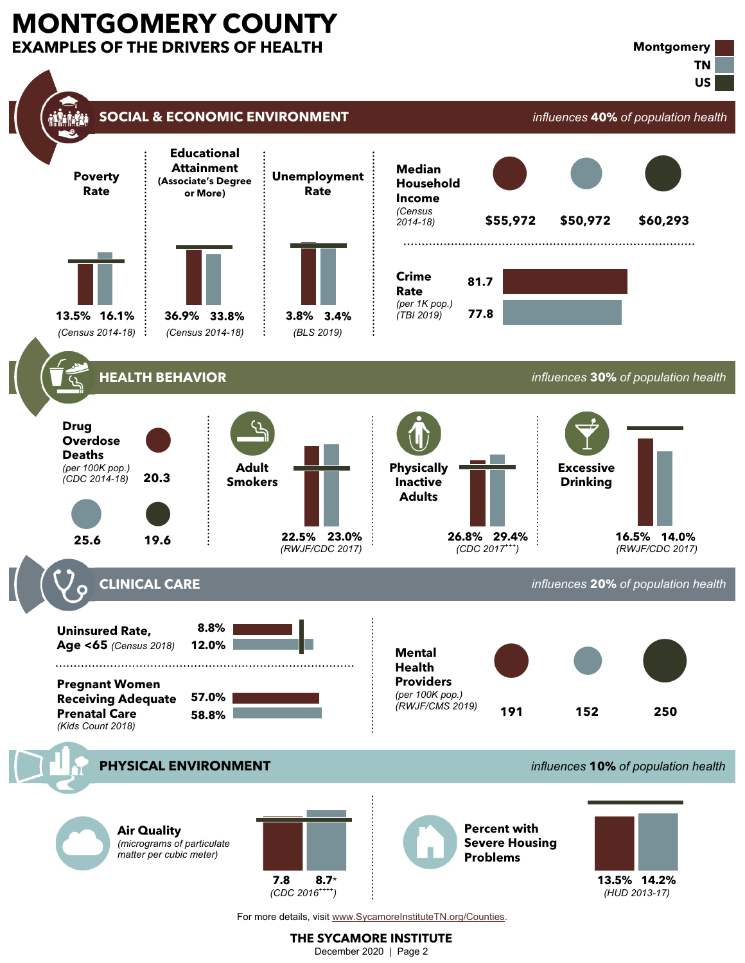# **MONTGOMERY COUNTY EXAMPLES OF THE DRIVERS OF HEALTH**



For more details, visit www.SycamoreInstituteTN.org/Counties.

**THE SYCAMORE INSTITUTE**  December 2020 | Page 2